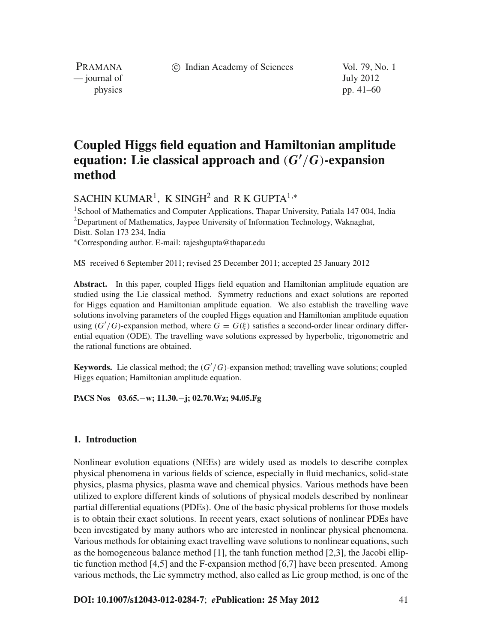c Indian Academy of Sciences Vol. 79, No. 1

PRAMANA — journal of July 2012

physics pp. 41–60

# **Coupled Higgs field equation and Hamiltonian amplitude** equation: Lie classical approach and  $(G'/G)$ -expansion **method**

SACHIN KUMAR<sup>1</sup>, K SINGH<sup>2</sup> and R K GUPTA<sup>1,\*</sup>

<sup>1</sup> School of Mathematics and Computer Applications, Thapar University, Patiala 147 004, India <sup>2</sup>Department of Mathematics, Jaypee University of Information Technology, Waknaghat, Distt. Solan 173 234, India <sup>∗</sup>Corresponding author. E-mail: rajeshgupta@thapar.edu

MS received 6 September 2011; revised 25 December 2011; accepted 25 January 2012

**Abstract.** In this paper, coupled Higgs field equation and Hamiltonian amplitude equation are studied using the Lie classical method. Symmetry reductions and exact solutions are reported for Higgs equation and Hamiltonian amplitude equation. We also establish the travelling wave solutions involving parameters of the coupled Higgs equation and Hamiltonian amplitude equation using  $(G'/G)$ -expansion method, where  $G = G(\xi)$  satisfies a second-order linear ordinary differential equation (ODE). The travelling wave solutions expressed by hyperbolic, trigonometric and the rational functions are obtained.

**Keywords.** Lie classical method; the (*G* /*G*)-expansion method; travelling wave solutions; coupled Higgs equation; Hamiltonian amplitude equation.

**PACS Nos 03.65.**−**w; 11.30.**−**j; 02.70.Wz; 94.05.Fg**

## **1. Introduction**

Nonlinear evolution equations (NEEs) are widely used as models to describe complex physical phenomena in various fields of science, especially in fluid mechanics, solid-state physics, plasma physics, plasma wave and chemical physics. Various methods have been utilized to explore different kinds of solutions of physical models described by nonlinear partial differential equations (PDEs). One of the basic physical problems for those models is to obtain their exact solutions. In recent years, exact solutions of nonlinear PDEs have been investigated by many authors who are interested in nonlinear physical phenomena. Various methods for obtaining exact travelling wave solutions to nonlinear equations, such as the homogeneous balance method  $[1]$ , the tanh function method  $[2,3]$ , the Jacobi elliptic function method  $[4,5]$  and the F-expansion method  $[6,7]$  have been presented. Among various methods, the Lie symmetry method, also called as Lie group method, is one of the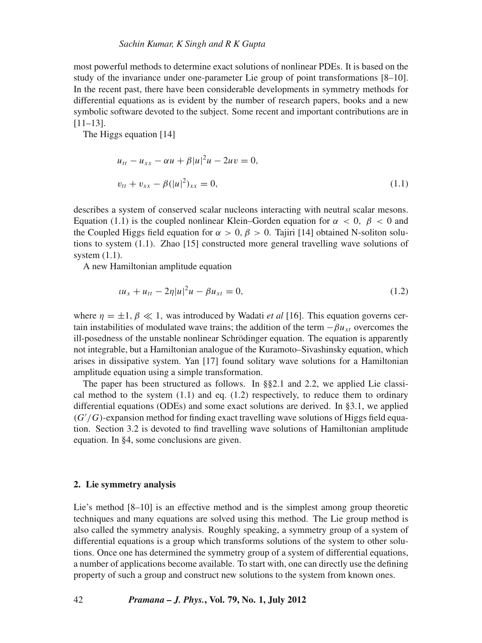most powerful methods to determine exact solutions of nonlinear PDEs. It is based on the study of the invariance under one-parameter Lie group of point transformations [8–10]. In the recent past, there have been considerable developments in symmetry methods for differential equations as is evident by the number of research papers, books and a new symbolic software devoted to the subject. Some recent and important contributions are in [11–13].

The Higgs equation [14]

$$
u_{tt} - u_{xx} - \alpha u + \beta |u|^2 u - 2uv = 0,
$$
  

$$
v_{tt} + v_{xx} - \beta (|u|^2)_{xx} = 0,
$$
 (1.1)

describes a system of conserved scalar nucleons interacting with neutral scalar mesons. Equation (1.1) is the coupled nonlinear Klein–Gorden equation for  $\alpha < 0$ ,  $\beta < 0$  and the Coupled Higgs field equation for  $\alpha > 0$ ,  $\beta > 0$ . Tajiri [14] obtained N-soliton solutions to system (1.1). Zhao [15] constructed more general travelling wave solutions of system (1.1).

A new Hamiltonian amplitude equation

$$
u_x + u_{tt} - 2\eta |u|^2 u - \beta u_{xt} = 0, \tag{1.2}
$$

where  $\eta = \pm 1, \beta \ll 1$ , was introduced by Wadati *et al* [16]. This equation governs certain instabilities of modulated wave trains; the addition of the term  $-\beta u_{xt}$  overcomes the ill-posedness of the unstable nonlinear Schrödinger equation. The equation is apparently not integrable, but a Hamiltonian analogue of the Kuramoto–Sivashinsky equation, which arises in dissipative system. Yan [17] found solitary wave solutions for a Hamiltonian amplitude equation using a simple transformation.

The paper has been structured as follows. In §§2.1 and 2.2, we applied Lie classical method to the system  $(1.1)$  and eq.  $(1.2)$  respectively, to reduce them to ordinary differential equations (ODEs) and some exact solutions are derived. In §3.1, we applied (*G* /*G*)-expansion method for finding exact travelling wave solutions of Higgs field equation. Section 3.2 is devoted to find travelling wave solutions of Hamiltonian amplitude equation. In §4, some conclusions are given.

# **2. Lie symmetry analysis**

Lie's method [8–10] is an effective method and is the simplest among group theoretic techniques and many equations are solved using this method. The Lie group method is also called the symmetry analysis. Roughly speaking, a symmetry group of a system of differential equations is a group which transforms solutions of the system to other solutions. Once one has determined the symmetry group of a system of differential equations, a number of applications become available. To start with, one can directly use the defining property of such a group and construct new solutions to the system from known ones.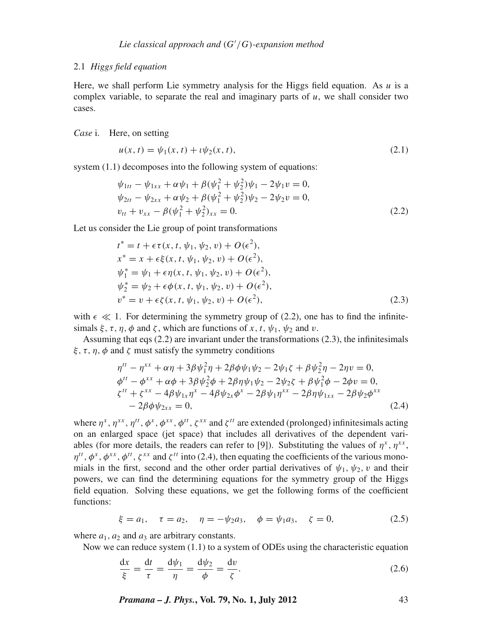## 2.1 *Higgs field equation*

Here, we shall perform Lie symmetry analysis for the Higgs field equation. As *u* is a complex variable, to separate the real and imaginary parts of *u*, we shall consider two cases.

# *Case* i. Here, on setting

$$
u(x, t) = \psi_1(x, t) + \iota \psi_2(x, t), \tag{2.1}
$$

system  $(1.1)$  decomposes into the following system of equations:

$$
\psi_{1tt} - \psi_{1xx} + \alpha \psi_1 + \beta (\psi_1^2 + \psi_2^2) \psi_1 - 2\psi_1 v = 0,
$$
  
\n
$$
\psi_{2tt} - \psi_{2xx} + \alpha \psi_2 + \beta (\psi_1^2 + \psi_2^2) \psi_2 - 2\psi_2 v = 0,
$$
  
\n
$$
v_{tt} + v_{xx} - \beta (\psi_1^2 + \psi_2^2)_{xx} = 0.
$$
\n(2.2)

Let us consider the Lie group of point transformations

$$
t^* = t + \epsilon \tau(x, t, \psi_1, \psi_2, v) + O(\epsilon^2),
$$
  
\n
$$
x^* = x + \epsilon \xi(x, t, \psi_1, \psi_2, v) + O(\epsilon^2),
$$
  
\n
$$
\psi_1^* = \psi_1 + \epsilon \eta(x, t, \psi_1, \psi_2, v) + O(\epsilon^2),
$$
  
\n
$$
\psi_2^* = \psi_2 + \epsilon \phi(x, t, \psi_1, \psi_2, v) + O(\epsilon^2),
$$
  
\n
$$
v^* = v + \epsilon \zeta(x, t, \psi_1, \psi_2, v) + O(\epsilon^2),
$$
\n(2.3)

with  $\epsilon \ll 1$ . For determining the symmetry group of (2.2), one has to find the infinitesimals  $\xi$ ,  $\tau$ ,  $\eta$ ,  $\phi$  and  $\zeta$ , which are functions of x, t,  $\psi_1$ ,  $\psi_2$  and v.

Assuming that eqs (2.2) are invariant under the transformations (2.3), the infinitesimals  $\xi, \tau, \eta, \phi$  and  $\zeta$  must satisfy the symmetry conditions

$$
\eta^{tt} - \eta^{xx} + \alpha \eta + 3\beta \psi_1^2 \eta + 2\beta \phi \psi_1 \psi_2 - 2\psi_1 \zeta + \beta \psi_2^2 \eta - 2\eta v = 0,\n\phi^{tt} - \phi^{xx} + \alpha \phi + 3\beta \psi_2^2 \phi + 2\beta \eta \psi_1 \psi_2 - 2\psi_2 \zeta + \beta \psi_1^2 \phi - 2\phi v = 0,\n\zeta^{tt} + \zeta^{xx} - 4\beta \psi_{1x} \eta^x - 4\beta \psi_{2x} \phi^x - 2\beta \psi_1 \eta^{xx} - 2\beta \eta \psi_{1xx} - 2\beta \psi_2 \phi^{xx}\n- 2\beta \phi \psi_{2xx} = 0,
$$
\n(2.4)

where  $\eta^x$ ,  $\eta^{xx}$ ,  $\eta^{tt}$ ,  $\phi^x$ ,  $\phi^{xx}$ ,  $\phi^{tt}$ ,  $\zeta^{xx}$  and  $\zeta^{tt}$  are extended (prolonged) infinitesimals acting on an enlarged space (jet space) that includes all derivatives of the dependent variables (for more details, the readers can refer to [9]). Substituting the values of  $\eta^x$ ,  $\eta^{xx}$ ,  $\eta^{tt}$ ,  $\phi^x$ ,  $\phi^{xx}$ ,  $\phi^{tt}$ ,  $\zeta^{xx}$  and  $\zeta^{tt}$  into (2.4), then equating the coefficients of the various monomials in the first, second and the other order partial derivatives of  $\psi_1, \psi_2, \upsilon$  and their powers, we can find the determining equations for the symmetry group of the Higgs field equation. Solving these equations, we get the following forms of the coefficient functions:

$$
\xi = a_1, \quad \tau = a_2, \quad \eta = -\psi_2 a_3, \quad \phi = \psi_1 a_3, \quad \zeta = 0,
$$
\n(2.5)

where  $a_1$ ,  $a_2$  and  $a_3$  are arbitrary constants.

Now we can reduce system (1.1) to a system of ODEs using the characteristic equation

$$
\frac{dx}{\xi} = \frac{dt}{\tau} = \frac{d\psi_1}{\eta} = \frac{d\psi_2}{\phi} = \frac{dv}{\zeta}.
$$
\n(2.6)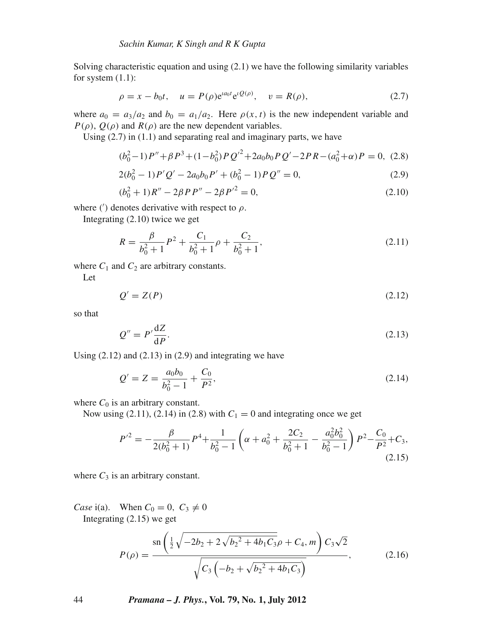Solving characteristic equation and using  $(2.1)$  we have the following similarity variables for system  $(1.1)$ :

$$
\rho = x - b_0 t, \quad u = P(\rho) e^{ia_0 t} e^{i Q(\rho)}, \quad v = R(\rho), \tag{2.7}
$$

where  $a_0 = a_3/a_2$  and  $b_0 = a_1/a_2$ . Here  $\rho(x, t)$  is the new independent variable and *P*( $\rho$ ), *Q*( $\rho$ ) and *R*( $\rho$ ) are the new dependent variables.

Using  $(2.7)$  in  $(1.1)$  and separating real and imaginary parts, we have

$$
(b_0^2 - 1)P'' + \beta P^3 + (1 - b_0^2)PQ'^2 + 2a_0b_0PQ' - 2PR - (a_0^2 + \alpha)P = 0, (2.8)
$$

$$
2(b_0^2 - 1)P'Q' - 2a_0b_0P' + (b_0^2 - 1)PQ'' = 0,
$$
\n(2.9)

$$
(b_0^2 + 1)R'' - 2\beta PP'' - 2\beta P'^2 = 0,
$$
\n(2.10)

where (') denotes derivative with respect to  $\rho$ .

Integrating (2.10) twice we get

$$
R = \frac{\beta}{b_0^2 + 1} P^2 + \frac{C_1}{b_0^2 + 1} \rho + \frac{C_2}{b_0^2 + 1},
$$
\n(2.11)

where  $C_1$  and  $C_2$  are arbitrary constants.

Let

$$
Q' = Z(P) \tag{2.12}
$$

so that

$$
Q'' = P' \frac{\mathrm{d}Z}{\mathrm{d}P}.\tag{2.13}
$$

Using  $(2.12)$  and  $(2.13)$  in  $(2.9)$  and integrating we have

$$
Q' = Z = \frac{a_0 b_0}{b_0^2 - 1} + \frac{C_0}{P^2},
$$
\n(2.14)

where  $C_0$  is an arbitrary constant.

Now using (2.11), (2.14) in (2.8) with  $C_1 = 0$  and integrating once we get

$$
P'^{2} = -\frac{\beta}{2(b_{0}^{2}+1)}P^{4} + \frac{1}{b_{0}^{2}-1}\left(\alpha + a_{0}^{2} + \frac{2C_{2}}{b_{0}^{2}+1} - \frac{a_{0}^{2}b_{0}^{2}}{b_{0}^{2}-1}\right)P^{2} - \frac{C_{0}}{P^{2}} + C_{3},
$$
\n(2.15)

where  $C_3$  is an arbitrary constant.

*Case* i(a). When  $C_0 = 0$ ,  $C_3 \neq 0$ Integrating (2.15) we get

$$
P(\rho) = \frac{\operatorname{sn}\left(\frac{1}{2}\sqrt{-2b_2 + 2\sqrt{b_2^2 + 4b_1C_3}\rho + C_4, m}\right)C_3\sqrt{2}}{\sqrt{C_3\left(-b_2 + \sqrt{b_2^2 + 4b_1C_3}\right)}},\tag{2.16}
$$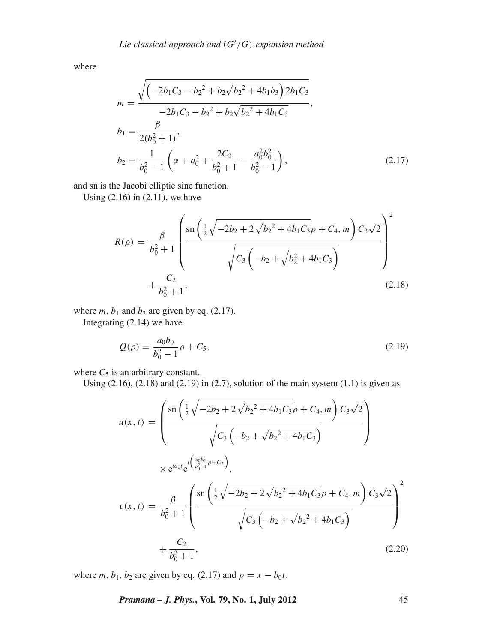where

$$
m = \frac{\sqrt{\left(-2b_1C_3 - b_2^2 + b_2\sqrt{b_2^2 + 4b_1b_3}\right)2b_1C_3}}{-2b_1C_3 - b_2^2 + b_2\sqrt{b_2^2 + 4b_1C_3}},
$$
  
\n
$$
b_1 = \frac{\beta}{2(b_0^2 + 1)},
$$
  
\n
$$
b_2 = \frac{1}{b_0^2 - 1}\left(\alpha + a_0^2 + \frac{2C_2}{b_0^2 + 1} - \frac{a_0^2b_0^2}{b_0^2 - 1}\right),
$$
\n(2.17)

and sn is the Jacobi elliptic sine function.

Using  $(2.16)$  in  $(2.11)$ , we have

$$
R(\rho) = \frac{\beta}{b_0^2 + 1} \left( \frac{\operatorname{sn} \left( \frac{1}{2} \sqrt{-2b_2 + 2\sqrt{b_2^2 + 4b_1 C_3}} \rho + C_4, m \right) C_3 \sqrt{2}}{\sqrt{C_3 \left( -b_2 + \sqrt{b_2^2 + 4b_1 C_3}} \right)}} \right)^2 + \frac{C_2}{b_0^2 + 1},
$$
\n(2.18)

where  $m$ ,  $b_1$  and  $b_2$  are given by eq. (2.17).

Integrating (2.14) we have

$$
Q(\rho) = \frac{a_0 b_0}{b_0^2 - 1} \rho + C_5,
$$
\n(2.19)

where  $C_5$  is an arbitrary constant.

Using  $(2.16)$ ,  $(2.18)$  and  $(2.19)$  in  $(2.7)$ , solution of the main system  $(1.1)$  is given as

$$
u(x,t) = \left(\frac{\operatorname{sn}\left(\frac{1}{2}\sqrt{-2b_2 + 2\sqrt{b_2^2 + 4b_1C_3}}\rho + C_4, m\right)C_3\sqrt{2}}{\sqrt{C_3\left(-b_2 + \sqrt{b_2^2 + 4b_1C_3}}\right)}\right)
$$

$$
\times e^{ia_0t}e^{i\left(\frac{a_0b_0}{b_0^2 - 1}\rho + C_5\right)},
$$

$$
v(x,t) = \frac{\beta}{b_0^2 + 1}\left(\frac{\operatorname{sn}\left(\frac{1}{2}\sqrt{-2b_2 + 2\sqrt{b_2^2 + 4b_1C_3}}\rho + C_4, m\right)C_3\sqrt{2}}{\sqrt{C_3\left(-b_2 + \sqrt{b_2^2 + 4b_1C_3}}\right)}\right)^2
$$

$$
+\frac{C_2}{b_0^2 + 1},
$$
(2.20)

where *m*,  $b_1$ ,  $b_2$  are given by eq. (2.17) and  $\rho = x - b_0 t$ .

*Pramana – J. Phys.***, Vol. 79, No. 1, July 2012** 45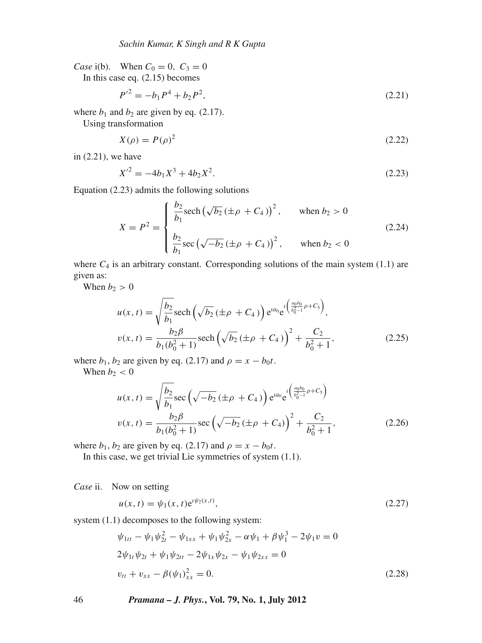*Case* i(b). When  $C_0 = 0$ ,  $C_3 = 0$ In this case eq. (2.15) becomes

$$
P'^2 = -b_1 P^4 + b_2 P^2,\tag{2.21}
$$

where  $b_1$  and  $b_2$  are given by eq. (2.17).

Using transformation

$$
X(\rho) = P(\rho)^2 \tag{2.22}
$$

in (2.21), we have

$$
X^{\prime 2} = -4b_1X^3 + 4b_2X^2. \tag{2.23}
$$

Equation (2.23) admits the following solutions

$$
X = P^{2} = \begin{cases} \frac{b_{2}}{b_{1}} \text{sech} \left(\sqrt{b_{2}} \left(\pm \rho + C_{4}\right)\right)^{2}, & \text{when } b_{2} > 0\\ \frac{b_{2}}{b_{1}} \text{sec} \left(\sqrt{-b_{2}} \left(\pm \rho + C_{4}\right)\right)^{2}, & \text{when } b_{2} < 0 \end{cases}
$$
(2.24)

where  $C_4$  is an arbitrary constant. Corresponding solutions of the main system (1.1) are given as:

When  $b_2 > 0$ 

$$
u(x,t) = \sqrt{\frac{b_2}{b_1}} \text{sech}\left(\sqrt{b_2} \left(\pm \rho + C_4\right)\right) e^{ia_0} e^{i\left(\frac{a_0 b_0}{b_0^2 - 1} \rho + C_5\right)},
$$
  

$$
v(x,t) = \frac{b_2 \beta}{b_1 (b_0^2 + 1)} \text{sech}\left(\sqrt{b_2} \left(\pm \rho + C_4\right)\right)^2 + \frac{C_2}{b_0^2 + 1},
$$
 (2.25)

where  $b_1$ ,  $b_2$  are given by eq. (2.17) and  $\rho = x - b_0 t$ .

When  $b_2 < 0$ 

$$
u(x,t) = \sqrt{\frac{b_2}{b_1}} \sec \left(\sqrt{-b_2} \left(\pm \rho + C_4\right)\right) e^{ia_0} e^{i\left(\frac{a_0 b_0}{b_0^2 - 1}\rho + C_5\right)}
$$
  

$$
v(x,t) = \frac{b_2 \beta}{b_1 (b_0^2 + 1)} \sec \left(\sqrt{-b_2} \left(\pm \rho + C_4\right)\right)^2 + \frac{C_2}{b_0^2 + 1},
$$
 (2.26)

where  $b_1$ ,  $b_2$  are given by eq. (2.17) and  $\rho = x - b_0 t$ .

In this case, we get trivial Lie symmetries of system (1.1).

*Case* ii. Now on setting

$$
u(x,t) = \psi_1(x,t)e^{i\psi_2(x,t)},
$$
\n(2.27)

system  $(1.1)$  decomposes to the following system:

$$
\psi_{1tt} - \psi_1 \psi_{2t}^2 - \psi_{1xx} + \psi_1 \psi_{2x}^2 - \alpha \psi_1 + \beta \psi_1^3 - 2\psi_1 v = 0
$$
  
\n
$$
2\psi_{1t}\psi_{2t} + \psi_1 \psi_{2tt} - 2\psi_{1x}\psi_{2x} - \psi_1 \psi_{2xx} = 0
$$
  
\n
$$
v_{tt} + v_{xx} - \beta (\psi_1)_{xx}^2 = 0.
$$
\n(2.28)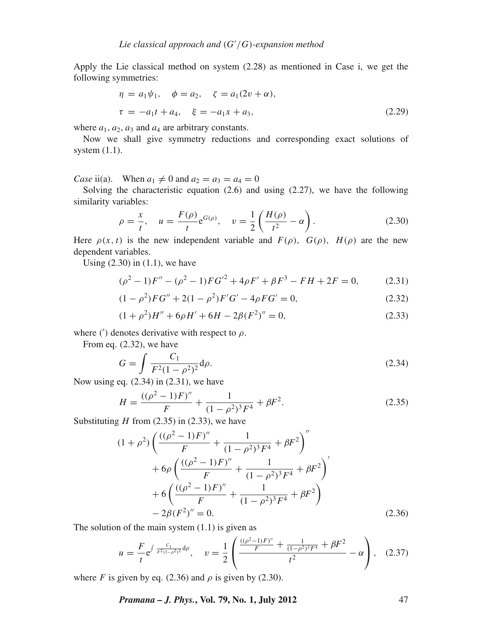Apply the Lie classical method on system (2.28) as mentioned in Case i, we get the following symmetries:

$$
\eta = a_1 \psi_1, \quad \phi = a_2, \quad \zeta = a_1 (2v + \alpha), \n\tau = -a_1 t + a_4, \quad \xi = -a_1 x + a_3,
$$
\n(2.29)

where  $a_1$ ,  $a_2$ ,  $a_3$  and  $a_4$  are arbitrary constants.

Now we shall give symmetry reductions and corresponding exact solutions of system  $(1.1)$ .

*Case* ii(a). When  $a_1 \neq 0$  and  $a_2 = a_3 = a_4 = 0$ 

Solving the characteristic equation (2.6) and using (2.27), we have the following similarity variables:

$$
\rho = \frac{x}{t}, \quad u = \frac{F(\rho)}{t} e^{G(\rho)}, \quad v = \frac{1}{2} \left( \frac{H(\rho)}{t^2} - \alpha \right). \tag{2.30}
$$

Here  $\rho(x, t)$  is the new independent variable and  $F(\rho)$ ,  $G(\rho)$ ,  $H(\rho)$  are the new dependent variables.

Using  $(2.30)$  in  $(1.1)$ , we have

$$
(\rho^2 - 1)F'' - (\rho^2 - 1)FG'^2 + 4\rho F' + \beta F^3 - FH + 2F = 0,
$$
 (2.31)

$$
(1 - \rho^2)FG'' + 2(1 - \rho^2)F'G' - 4\rho FG' = 0,
$$
\n(2.32)

$$
(1 + \rho^2)H'' + 6\rho H' + 6H - 2\beta (F^2)'' = 0,
$$
\n(2.33)

where ( $\prime$ ) denotes derivative with respect to  $\rho$ .

From eq. (2.32), we have

$$
G = \int \frac{C_1}{F^2 (1 - \rho^2)^2} d\rho.
$$
 (2.34)

Now using eq. (2.34) in (2.31), we have

$$
H = \frac{((\rho^2 - 1)F)''}{F} + \frac{1}{(1 - \rho^2)^3 F^4} + \beta F^2.
$$
 (2.35)

Substituting  $H$  from (2.35) in (2.33), we have

$$
(1+\rho^2)\left(\frac{((\rho^2-1)F)''}{F} + \frac{1}{(1-\rho^2)^3F^4} + \beta F^2\right)''
$$
  
+ $6\rho\left(\frac{((\rho^2-1)F)''}{F} + \frac{1}{(1-\rho^2)^3F^4} + \beta F^2\right)'$   
+ $6\left(\frac{((\rho^2-1)F)''}{F} + \frac{1}{(1-\rho^2)^3F^4} + \beta F^2\right)$   
- $2\beta(F^2)'' = 0.$  (2.36)

The solution of the main system  $(1.1)$  is given as

$$
u = \frac{F}{t} e^{\int \frac{C_1}{F^2 (1 - \rho^2)^2} d\rho}, \quad v = \frac{1}{2} \left( \frac{\frac{((\rho^2 - 1)F)''}{F} + \frac{1}{(1 - \rho^2)^3 F^4} + \beta F^2}{t^2} - \alpha \right), \quad (2.37)
$$

where *F* is given by eq. (2.36) and  $\rho$  is given by (2.30).

*Pramana – J. Phys.***, Vol. 79, No. 1, July 2012** 47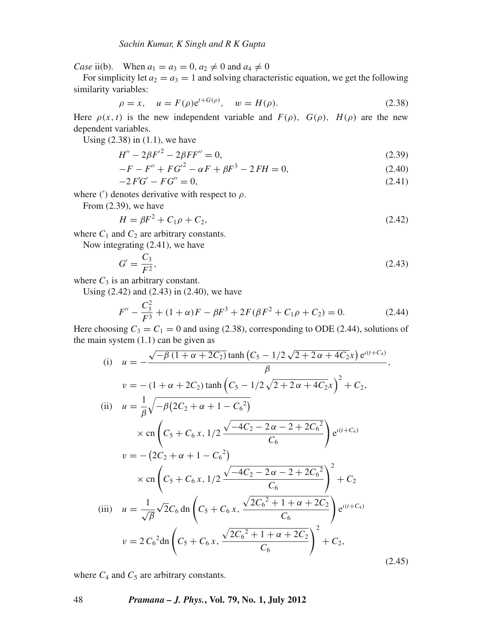*Case* ii(b). When  $a_1 = a_3 = 0, a_2 \neq 0$  and  $a_4 \neq 0$ 

For simplicity let  $a_2 = a_3 = 1$  and solving characteristic equation, we get the following similarity variables:

$$
\rho = x, \quad u = F(\rho)e^{t + G(\rho)}, \quad w = H(\rho). \tag{2.38}
$$

Here  $\rho(x, t)$  is the new independent variable and  $F(\rho)$ ,  $G(\rho)$ ,  $H(\rho)$  are the new dependent variables.

Using  $(2.38)$  in  $(1.1)$ , we have

$$
H'' - 2\beta F'^2 - 2\beta FF'' = 0,\t(2.39)
$$

$$
-F - F'' + FG'^2 - \alpha F + \beta F^3 - 2FH = 0,
$$
\n(2.40)

$$
-2FG' - FG'' = 0,\t(2.41)
$$

where ( $\prime$ ) denotes derivative with respect to  $\rho$ .

From (2.39), we have

$$
H = \beta F^2 + C_1 \rho + C_2, \tag{2.42}
$$

where  $C_1$  and  $C_2$  are arbitrary constants.

Now integrating (2.41), we have

$$
G' = \frac{C_3}{F^2},\tag{2.43}
$$

where  $C_3$  is an arbitrary constant.

Using (2.42) and (2.43) in (2.40), we have

$$
F'' - \frac{C_3^2}{F^3} + (1 + \alpha)F - \beta F^3 + 2F(\beta F^2 + C_1 \rho + C_2) = 0.
$$
 (2.44)

Here choosing  $C_3 = C_1 = 0$  and using (2.38), corresponding to ODE (2.44), solutions of the main system  $(1.1)$  can be given as

(i) 
$$
u = -\frac{\sqrt{-\beta (1 + \alpha + 2C_2)} \tanh (C_5 - 1/2 \sqrt{2 + 2\alpha + 4C_2} x) e^{i(t + C_4)}}{\beta},
$$
  
\n
$$
v = -(1 + \alpha + 2C_2) \tanh (C_5 - 1/2 \sqrt{2 + 2\alpha + 4C_2} x)^2 + C_2,
$$
  
\n(ii) 
$$
u = \frac{1}{\beta} \sqrt{-\beta (2C_2 + \alpha + 1 - C_6^2)}
$$
  
\n
$$
\times \text{cn} \left( C_5 + C_6 x, 1/2 \frac{\sqrt{-4C_2 - 2\alpha - 2 + 2C_6^2}}{C_6} \right) e^{i(t + C_4)}
$$
  
\n
$$
v = -(2C_2 + \alpha + 1 - C_6^2)
$$
  
\n
$$
\times \text{cn} \left( C_5 + C_6 x, 1/2 \frac{\sqrt{-4C_2 - 2\alpha - 2 + 2C_6^2}}{C_6} \right)^2 + C_2
$$
  
\n(iii) 
$$
u = \frac{1}{\sqrt{\beta}} \sqrt{2C_6} \text{dn} \left( C_5 + C_6 x, \frac{\sqrt{2C_6^2 + 1 + \alpha + 2C_2}}{C_6} \right) e^{i(t + C_4)}
$$
  
\n
$$
v = 2 C_6^2 \text{dn} \left( C_5 + C_6 x, \frac{\sqrt{2C_6^2 + 1 + \alpha + 2C_2}}{C_6} \right)^2 + C_2,
$$
  
\n(2.45)

where  $C_4$  and  $C_5$  are arbitrary constants.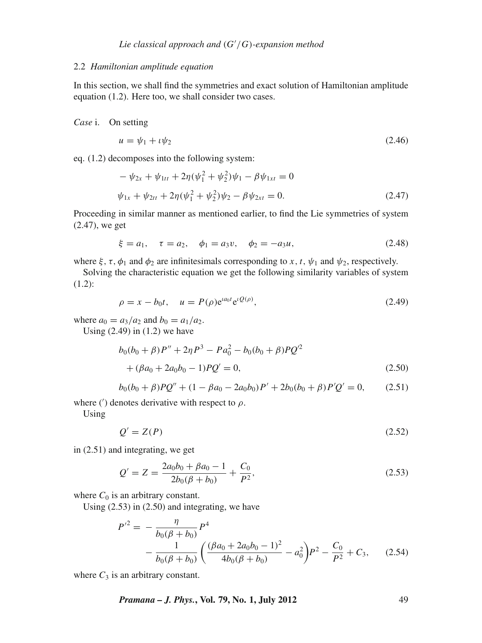#### 2.2 *Hamiltonian amplitude equation*

In this section, we shall find the symmetries and exact solution of Hamiltonian amplitude equation (1.2). Here too, we shall consider two cases.

*Case* i. On setting

$$
u = \psi_1 + \iota \psi_2 \tag{2.46}
$$

eq. (1.2) decomposes into the following system:

$$
-\psi_{2x} + \psi_{1tt} + 2\eta(\psi_1^2 + \psi_2^2)\psi_1 - \beta\psi_{1xt} = 0
$$
  

$$
\psi_{1x} + \psi_{2tt} + 2\eta(\psi_1^2 + \psi_2^2)\psi_2 - \beta\psi_{2xt} = 0.
$$
 (2.47)

Proceeding in similar manner as mentioned earlier, to find the Lie symmetries of system (2.47), we get

$$
\xi = a_1, \quad \tau = a_2, \quad \phi_1 = a_3 v, \quad \phi_2 = -a_3 u,
$$
\n(2.48)

where  $\xi$ ,  $\tau$ ,  $\phi_1$  and  $\phi_2$  are infinitesimals corresponding to *x*, *t*,  $\psi_1$  and  $\psi_2$ , respectively.

Solving the characteristic equation we get the following similarity variables of system (1.2):

$$
\rho = x - b_0 t, \quad u = P(\rho) e^{a_0 t} e^{i Q(\rho)}, \tag{2.49}
$$

where  $a_0 = a_3/a_2$  and  $b_0 = a_1/a_2$ .

Using  $(2.49)$  in  $(1.2)$  we have

$$
b_0(b_0 + \beta)P'' + 2\eta P^3 - Pa_0^2 - b_0(b_0 + \beta)PQ^2
$$
  
+  $(\beta a_0 + 2a_0b_0 - 1)PQ' = 0,$  (2.50)

$$
b_0(b_0 + \beta)PQ'' + (1 - \beta a_0 - 2a_0b_0)P' + 2b_0(b_0 + \beta)P'Q' = 0, \qquad (2.51)
$$

where ( $\prime$ ) denotes derivative with respect to  $\rho$ .

Using

$$
Q' = Z(P) \tag{2.52}
$$

in (2.51) and integrating, we get

$$
Q' = Z = \frac{2a_0b_0 + \beta a_0 - 1}{2b_0(\beta + b_0)} + \frac{C_0}{P^2},
$$
\n(2.53)

where  $C_0$  is an arbitrary constant.

Using (2.53) in (2.50) and integrating, we have

$$
P'^{2} = -\frac{\eta}{b_{0}(\beta + b_{0})} P^{4}
$$
  
 
$$
-\frac{1}{b_{0}(\beta + b_{0})} \left( \frac{(\beta a_{0} + 2a_{0}b_{0} - 1)^{2}}{4b_{0}(\beta + b_{0})} - a_{0}^{2} \right) P^{2} - \frac{C_{0}}{P^{2}} + C_{3}, \quad (2.54)
$$

where  $C_3$  is an arbitrary constant.

*Pramana – J. Phys.***, Vol. 79, No. 1, July 2012** 49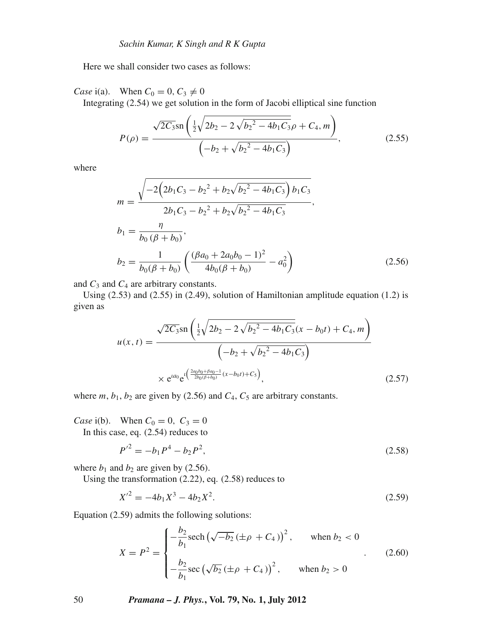Here we shall consider two cases as follows:

*Case* i(a). When  $C_0 = 0, C_3 \neq 0$ Integrating (2.54) we get solution in the form of Jacobi elliptical sine function

$$
P(\rho) = \frac{\sqrt{2C_3} \sin\left(\frac{1}{2}\sqrt{2b_2 - 2\sqrt{b_2^2 - 4b_1C_3}}\rho + C_4, m\right)}{\left(-b_2 + \sqrt{b_2^2 - 4b_1C_3}}\right)},
$$
(2.55)

where

$$
m = \frac{\sqrt{-2\left(2b_1C_3 - b_2{}^2 + b_2\sqrt{b_2{}^2 - 4b_1C_3}\right)b_1C_3}}{2b_1C_3 - b_2{}^2 + b_2\sqrt{b_2{}^2 - 4b_1C_3}},
$$
  
\n
$$
b_1 = \frac{\eta}{b_0\left(\beta + b_0\right)},
$$
  
\n
$$
b_2 = \frac{1}{b_0(\beta + b_0)}\left(\frac{(\beta a_0 + 2a_0b_0 - 1)^2}{4b_0(\beta + b_0)} - a_0^2\right)
$$
\n(2.56)

and  $C_3$  and  $C_4$  are arbitrary constants.

Using (2.53) and (2.55) in (2.49), solution of Hamiltonian amplitude equation (1.2) is given as

$$
u(x,t) = \frac{\sqrt{2C_3} \sin\left(\frac{1}{2}\sqrt{2b_2 - 2\sqrt{b_2^2 - 4b_1C_3}}(x - b_0t) + C_4, m\right)}{\left(-b_2 + \sqrt{b_2^2 - 4b_1C_3}\right)}
$$

$$
\times e^{ta_0} e^{t\left(\frac{2a_0b_0 + \beta a_0 - 1}{2b_0(\beta + b_0)}(x - b_0t) + C_5\right)},
$$
(2.57)

where  $m$ ,  $b_1$ ,  $b_2$  are given by (2.56) and  $C_4$ ,  $C_5$  are arbitrary constants.

*Case* i(b). When  $C_0 = 0$ ,  $C_3 = 0$ In this case, eq. (2.54) reduces to

$$
P'^2 = -b_1 P^4 - b_2 P^2,\tag{2.58}
$$

where  $b_1$  and  $b_2$  are given by (2.56).

Using the transformation (2.22), eq. (2.58) reduces to

$$
X^{\prime 2} = -4b_1X^3 - 4b_2X^2. \tag{2.59}
$$

Equation (2.59) admits the following solutions:

$$
X = P^{2} = \begin{cases} -\frac{b_{2}}{b_{1}} \mathrm{sech}(\sqrt{-b_{2}} (\pm \rho + C_{4}))^{2}, & \text{when } b_{2} < 0\\ -\frac{b_{2}}{b_{1}} \mathrm{sec}(\sqrt{b_{2}} (\pm \rho + C_{4}))^{2}, & \text{when } b_{2} > 0 \end{cases}
$$
(2.60)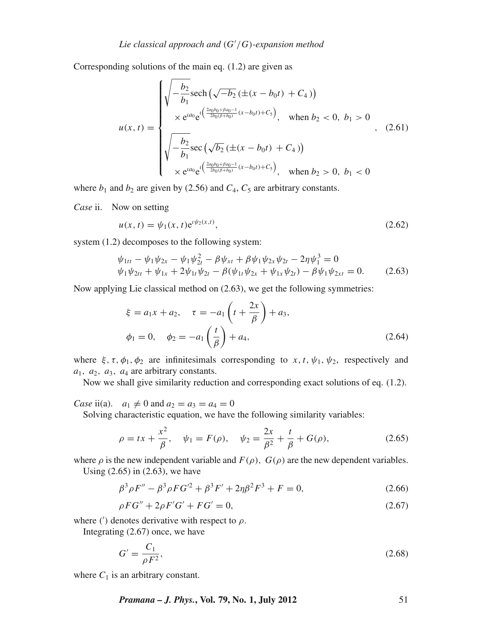Corresponding solutions of the main eq. (1.2) are given as

$$
u(x,t) = \begin{cases} \sqrt{-\frac{b_2}{b_1} \mathrm{sech}\left(\sqrt{-b_2}\left(\pm(x-b_0t) + C_4\right)\right)} \\ \times e^{ia_0} e^{i\left(\frac{2a_0b_0 + \beta a_0 - 1}{2b_0(\beta + b_0)}(x - b_0t) + C_5\right)}, & \text{when } b_2 < 0, \ b_1 > 0 \\ \sqrt{-\frac{b_2}{b_1} \mathrm{sec}\left(\sqrt{b_2}\left(\pm(x - b_0t) + C_4\right)\right)} \\ \times e^{ia_0} e^{i\left(\frac{2a_0b_0 + \beta a_0 - 1}{2b_0(\beta + b_0)}(x - b_0t) + C_5\right)}, & \text{when } b_2 > 0, \ b_1 < 0 \end{cases}
$$

where  $b_1$  and  $b_2$  are given by (2.56) and  $C_4$ ,  $C_5$  are arbitrary constants.

*Case* ii. Now on setting

$$
u(x,t) = \psi_1(x,t)e^{i\psi_2(x,t)},
$$
\n(2.62)

system (1.2) decomposes to the following system:

$$
\psi_{1tt} - \psi_1 \psi_{2x} - \psi_1 \psi_{2t}^2 - \beta \psi_{xt} + \beta \psi_1 \psi_{2x} \psi_{2t} - 2\eta \psi_1^3 = 0 \n\psi_1 \psi_{2tt} + \psi_{1x} + 2\psi_{1t} \psi_{2t} - \beta(\psi_{1t} \psi_{2x} + \psi_{1x} \psi_{2t}) - \beta \psi_1 \psi_{2xt} = 0.
$$
\n(2.63)

Now applying Lie classical method on (2.63), we get the following symmetries:

$$
\xi = a_1 x + a_2, \quad \tau = -a_1 \left( t + \frac{2x}{\beta} \right) + a_3, \n\phi_1 = 0, \quad \phi_2 = -a_1 \left( \frac{t}{\beta} \right) + a_4,
$$
\n(2.64)

where  $\xi$ ,  $\tau$ ,  $\phi_1$ ,  $\phi_2$  are infinitesimals corresponding to *x*, *t*,  $\psi_1$ ,  $\psi_2$ , respectively and *a*1, *a*2, *a*3, *a*<sup>4</sup> are arbitrary constants.

Now we shall give similarity reduction and corresponding exact solutions of eq. (1.2).

*Case* ii(a).  $a_1 \neq 0$  and  $a_2 = a_3 = a_4 = 0$ 

Solving characteristic equation, we have the following similarity variables:

$$
\rho = tx + \frac{x^2}{\beta}, \quad \psi_1 = F(\rho), \quad \psi_2 = \frac{2x}{\beta^2} + \frac{t}{\beta} + G(\rho), \tag{2.65}
$$

where  $\rho$  is the new independent variable and  $F(\rho)$ ,  $G(\rho)$  are the new dependent variables.

Using (2.65) in (2.63), we have

$$
\beta^3 \rho F'' - \beta^3 \rho F G'^2 + \beta^3 F' + 2\eta \beta^2 F^3 + F = 0,
$$
\n(2.66)

$$
\rho F G'' + 2\rho F' G' + F G' = 0,\tag{2.67}
$$

where ( $'$ ) denotes derivative with respect to  $\rho$ .

Integrating (2.67) once, we have

$$
G' = \frac{C_1}{\rho F^2},\tag{2.68}
$$

where  $C_1$  is an arbitrary constant.

*Pramana – J. Phys.***, Vol. 79, No. 1, July 2012** 51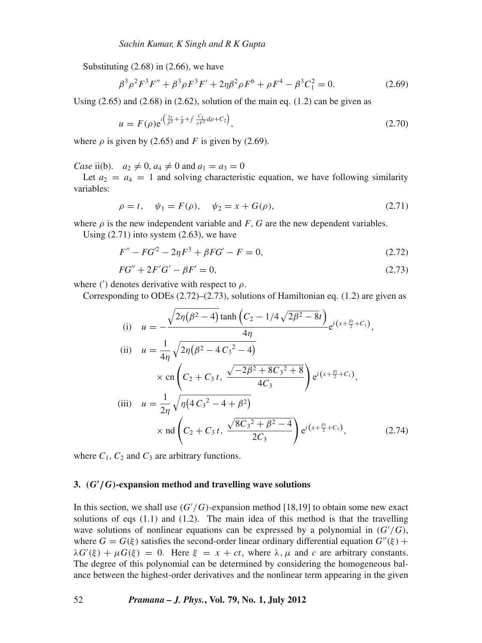Substituting (2.68) in (2.66), we have

$$
\beta^3 \rho^2 F^3 F'' + \beta^3 \rho F^3 F' + 2 \eta \beta^2 \rho F^6 + \rho F^4 - \beta^3 C_1^2 = 0.
$$
 (2.69)

Using  $(2.65)$  and  $(2.68)$  in  $(2.62)$ , solution of the main eq.  $(1.2)$  can be given as

$$
u = F(\rho)e^{i\left(\frac{2x}{\beta^2} + \frac{t}{\beta} + \int \frac{C_1}{\rho F^2} d\rho + C_2\right)},
$$
\n(2.70)

where  $\rho$  is given by (2.65) and *F* is given by (2.69).

*Case* ii(b).  $a_2 \neq 0$ ,  $a_4 \neq 0$  and  $a_1 = a_3 = 0$ 

Let  $a_2 = a_4 = 1$  and solving characteristic equation, we have following similarity variables:

$$
\rho = t, \quad \psi_1 = F(\rho), \quad \psi_2 = x + G(\rho), \tag{2.71}
$$

where  $\rho$  is the new independent variable and *F*, *G* are the new dependent variables.

Using  $(2.71)$  into system  $(2.63)$ , we have

$$
F'' - FG'^2 - 2\eta F^3 + \beta FG' - F = 0,\tag{2.72}
$$

$$
FG'' + 2F'G' - \beta F' = 0,\t\t(2.73)
$$

where ( $\prime$ ) denotes derivative with respect to  $\rho$ .

Corresponding to ODEs  $(2.72)$ – $(2.73)$ , solutions of Hamiltonian eq.  $(1.2)$  are given as

(i) 
$$
u = -\frac{\sqrt{2\eta(\beta^2 - 4)} \tanh\left(C_2 - 1/4\sqrt{2\beta^2 - 8t}\right)}{4\eta} e^{i(x + \frac{\theta_t}{2} + C_1)},
$$
  
\n(ii)  $u = \frac{1}{4\eta} \sqrt{2\eta(\beta^2 - 4C_3^2 - 4)}$   
\n $\times \text{cn}\left(C_2 + C_3 t, \frac{\sqrt{-2\beta^2 + 8C_3^2 + 8}}{4C_3}\right) e^{i(x + \frac{\beta_t}{2} + C_1)},$   
\n(iii)  $u = \frac{1}{2\eta} \sqrt{\eta(4C_3^2 - 4 + \beta^2)}$   
\n $\times \text{nd}\left(C_2 + C_3 t, \frac{\sqrt{8C_3^2 + \beta^2 - 4}}{2C_3}\right) e^{i(x + \frac{\beta_t}{2} + C_1)},$ \n(2.74)

where  $C_1$ ,  $C_2$  and  $C_3$  are arbitrary functions.

# **3.** *(G***-** */G)***-expansion method and travelling wave solutions**

In this section, we shall use  $(G'/G)$ -expansion method [18,19] to obtain some new exact solutions of eqs (1.1) and (1.2). The main idea of this method is that the travelling wave solutions of nonlinear equations can be expressed by a polynomial in  $(G'/G)$ , where  $G = G(\xi)$  satisfies the second-order linear ordinary differential equation  $G''(\xi)$  +  $\lambda G'(\xi) + \mu G(\xi) = 0$ . Here  $\xi = x + ct$ , where  $\lambda, \mu$  and *c* are arbitrary constants. The degree of this polynomial can be determined by considering the homogeneous balance between the highest-order derivatives and the nonlinear term appearing in the given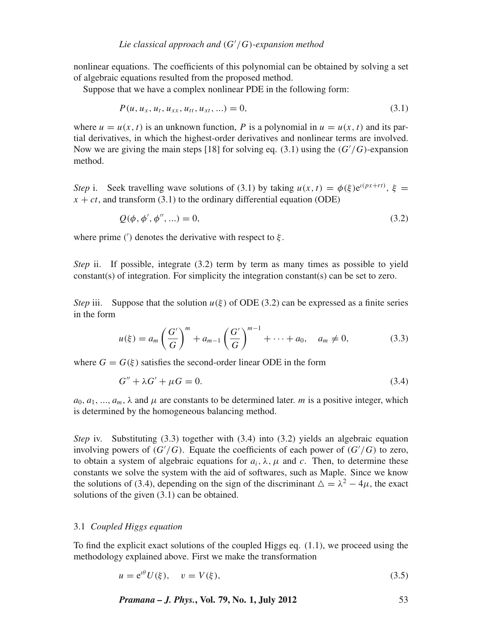nonlinear equations. The coefficients of this polynomial can be obtained by solving a set of algebraic equations resulted from the proposed method.

Suppose that we have a complex nonlinear PDE in the following form:

$$
P(u, u_x, u_t, u_{xx}, u_{tt}, u_{xt}, \ldots) = 0,
$$
\n(3.1)

where  $u = u(x, t)$  is an unknown function, P is a polynomial in  $u = u(x, t)$  and its partial derivatives, in which the highest-order derivatives and nonlinear terms are involved. Now we are giving the main steps [18] for solving eq. (3.1) using the (*G* /*G*)-expansion method.

*Step* i. Seek travelling wave solutions of (3.1) by taking  $u(x, t) = \phi(\xi) e^{i(px+rt)}$ ,  $\xi =$  $x + ct$ , and transform (3.1) to the ordinary differential equation (ODE)

$$
Q(\phi, \phi', \phi'', \ldots) = 0,\tag{3.2}
$$

where prime ( $\prime$ ) denotes the derivative with respect to  $\xi$ .

*Step* ii. If possible, integrate (3.2) term by term as many times as possible to yield constant(s) of integration. For simplicity the integration constant(s) can be set to zero.

*Step* iii. Suppose that the solution  $u(\xi)$  of ODE (3.2) can be expressed as a finite series in the form

$$
u(\xi) = a_m \left(\frac{G'}{G}\right)^m + a_{m-1} \left(\frac{G'}{G}\right)^{m-1} + \dots + a_0, \quad a_m \neq 0,
$$
 (3.3)

where  $G = G(\xi)$  satisfies the second-order linear ODE in the form

$$
G'' + \lambda G' + \mu G = 0. \tag{3.4}
$$

 $a_0, a_1, \ldots, a_m, \lambda$  and  $\mu$  are constants to be determined later. *m* is a positive integer, which is determined by the homogeneous balancing method.

*Step* iv. Substituting (3.3) together with (3.4) into (3.2) yields an algebraic equation involving powers of  $(G'/G)$ . Equate the coefficients of each power of  $(G'/G)$  to zero, to obtain a system of algebraic equations for  $a_i$ ,  $\lambda$ ,  $\mu$  and *c*. Then, to determine these constants we solve the system with the aid of softwares, such as Maple. Since we know the solutions of (3.4), depending on the sign of the discriminant  $\Delta = \lambda^2 - 4\mu$ , the exact solutions of the given (3.1) can be obtained.

# 3.1 *Coupled Higgs equation*

To find the explicit exact solutions of the coupled Higgs eq.  $(1.1)$ , we proceed using the methodology explained above. First we make the transformation

$$
u = e^{i\theta} U(\xi), \quad v = V(\xi), \tag{3.5}
$$

*Pramana – J. Phys.***, Vol. 79, No. 1, July 2012** 53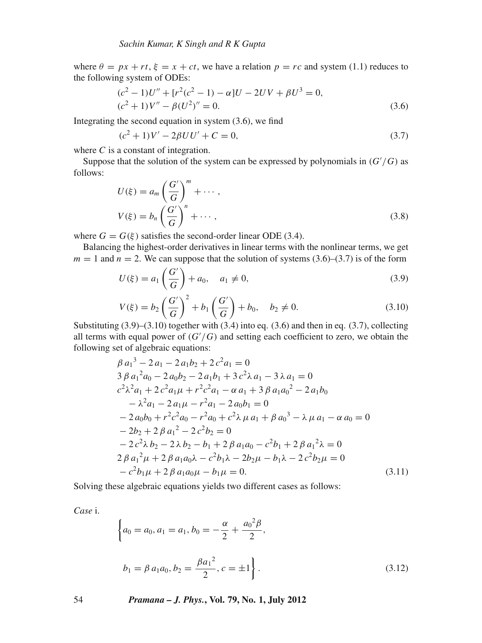where  $\theta = px + rt$ ,  $\xi = x + ct$ , we have a relation  $p = rc$  and system (1.1) reduces to the following system of ODEs:

$$
(c2 - 1)U'' + [r2(c2 - 1) - \alpha]U - 2UV + \beta U3 = 0,
$$
  
(c<sup>2</sup> + 1)V'' - \beta(U<sup>2</sup>)'' = 0. (3.6)

Integrating the second equation in system (3.6), we find

$$
(c2 + 1)V' - 2\beta UU' + C = 0,
$$
\n(3.7)

where *C* is a constant of integration.

Suppose that the solution of the system can be expressed by polynomials in (*G* /*G*) as follows:

$$
U(\xi) = a_m \left(\frac{G'}{G}\right)^m + \cdots,
$$
  

$$
V(\xi) = b_n \left(\frac{G'}{G}\right)^n + \cdots,
$$
 (3.8)

where  $G = G(\xi)$  satisfies the second-order linear ODE (3.4).

Balancing the highest-order derivatives in linear terms with the nonlinear terms, we get  $m = 1$  and  $n = 2$ . We can suppose that the solution of systems (3.6)–(3.7) is of the form

$$
U(\xi) = a_1 \left( \frac{G'}{G} \right) + a_0, \quad a_1 \neq 0,
$$
\n(3.9)

$$
V(\xi) = b_2 \left(\frac{G'}{G}\right)^2 + b_1 \left(\frac{G'}{G}\right) + b_0, \quad b_2 \neq 0. \tag{3.10}
$$

Substituting  $(3.9)$ – $(3.10)$  together with  $(3.4)$  into eq.  $(3.6)$  and then in eq.  $(3.7)$ , collecting all terms with equal power of  $(G'/G)$  and setting each coefficient to zero, we obtain the following set of algebraic equations:

$$
\beta a_1^3 - 2a_1 - 2a_1b_2 + 2c^2a_1 = 0
$$
  
\n
$$
3 \beta a_1^2 a_0 - 2a_0b_2 - 2a_1b_1 + 3c^2\lambda a_1 - 3\lambda a_1 = 0
$$
  
\n
$$
c^2 \lambda^2 a_1 + 2c^2 a_1 \mu + r^2 c^2 a_1 - \alpha a_1 + 3 \beta a_1 a_0^2 - 2a_1b_0
$$
  
\n
$$
- \lambda^2 a_1 - 2a_1 \mu - r^2 a_1 - 2a_0b_1 = 0
$$
  
\n
$$
- 2a_0b_0 + r^2 c^2 a_0 - r^2 a_0 + c^2 \lambda \mu a_1 + \beta a_0^3 - \lambda \mu a_1 - \alpha a_0 = 0
$$
  
\n
$$
- 2b_2 + 2 \beta a_1^2 - 2c^2 b_2 = 0
$$
  
\n
$$
- 2c^2 \lambda b_2 - 2\lambda b_2 - b_1 + 2 \beta a_1 a_0 - c^2 b_1 + 2 \beta a_1^2 \lambda = 0
$$
  
\n
$$
2 \beta a_1^2 \mu + 2 \beta a_1 a_0 \lambda - c^2 b_1 \lambda - 2b_2 \mu - b_1 \lambda - 2c^2 b_2 \mu = 0
$$
  
\n
$$
- c^2 b_1 \mu + 2 \beta a_1 a_0 \mu - b_1 \mu = 0.
$$
  
\n(3.11)

Solving these algebraic equations yields two different cases as follows:

*Case* i.

$$
\begin{cases}\na_0 = a_0, a_1 = a_1, b_0 = -\frac{\alpha}{2} + \frac{a_0^2 \beta}{2}, \\
b_1 = \beta \, a_1 a_0, b_2 = \frac{\beta a_1^2}{2}, c = \pm 1\n\end{cases}
$$
\n(3.12)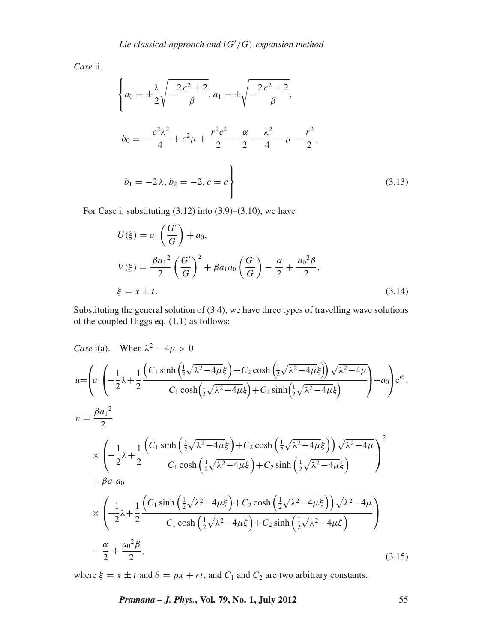*Case* ii.

$$
\begin{cases}\na_0 = \pm \frac{\lambda}{2} \sqrt{-\frac{2c^2 + 2}{\beta}}, a_1 = \pm \sqrt{-\frac{2c^2 + 2}{\beta}}, \\
b_0 = -\frac{c^2 \lambda^2}{4} + c^2 \mu + \frac{r^2 c^2}{2} - \frac{\alpha}{2} - \frac{\lambda^2}{4} - \mu - \frac{r^2}{2}, \\
b_1 = -2\lambda, b_2 = -2, c = c\n\end{cases}
$$
\n(3.13)

For Case i, substituting  $(3.12)$  into  $(3.9)$ – $(3.10)$ , we have

$$
U(\xi) = a_1 \left(\frac{G'}{G}\right) + a_0,
$$
  
\n
$$
V(\xi) = \frac{\beta a_1^2}{2} \left(\frac{G'}{G}\right)^2 + \beta a_1 a_0 \left(\frac{G'}{G}\right) - \frac{\alpha}{2} + \frac{a_0^2 \beta}{2},
$$
  
\n
$$
\xi = x \pm t.
$$
\n(3.14)

Substituting the general solution of (3.4), we have three types of travelling wave solutions of the coupled Higgs eq. (1.1) as follows:

Case i(a). When 
$$
\lambda^2 - 4\mu > 0
$$
  
\n
$$
u = \left(a_1 \left(-\frac{1}{2}\lambda + \frac{1}{2}\frac{\left(C_1 \sinh\left(\frac{1}{2}\sqrt{\lambda^2 - 4\mu\xi}\right) + C_2 \cosh\left(\frac{1}{2}\sqrt{\lambda^2 - 4\mu\xi}\right)\right)\sqrt{\lambda^2 - 4\mu}}{C_1 \cosh\left(\frac{1}{2}\sqrt{\lambda^2 - 4\mu\xi}\right) + C_2 \sinh\left(\frac{1}{2}\sqrt{\lambda^2 - 4\mu\xi}\right)}\right) + a_0\right)e^{i\theta},
$$
\n
$$
v = \frac{\beta a_1^2}{2}
$$
\n
$$
\times \left(-\frac{1}{2}\lambda + \frac{1}{2}\frac{\left(C_1 \sinh\left(\frac{1}{2}\sqrt{\lambda^2 - 4\mu\xi}\right) + C_2 \cosh\left(\frac{1}{2}\sqrt{\lambda^2 - 4\mu\xi}\right)\right)\sqrt{\lambda^2 - 4\mu}}{C_1 \cosh\left(\frac{1}{2}\sqrt{\lambda^2 - 4\mu\xi}\right) + C_2 \sinh\left(\frac{1}{2}\sqrt{\lambda^2 - 4\mu\xi}\right)}\right)^2
$$
\n
$$
+ \beta a_1 a_0
$$
\n
$$
\times \left(-\frac{1}{2}\lambda + \frac{1}{2}\frac{\left(C_1 \sinh\left(\frac{1}{2}\sqrt{\lambda^2 - 4\mu\xi}\right) + C_2 \cosh\left(\frac{1}{2}\sqrt{\lambda^2 - 4\mu\xi}\right)\right)\sqrt{\lambda^2 - 4\mu}}{C_1 \cosh\left(\frac{1}{2}\sqrt{\lambda^2 - 4\mu\xi}\right) + C_2 \sinh\left(\frac{1}{2}\sqrt{\lambda^2 - 4\mu\xi}\right)}\right)
$$
\n
$$
- \frac{\alpha}{2} + \frac{a_0^2 \beta}{2}, \qquad (3.15)
$$

where  $\xi = x \pm t$  and  $\theta = px + rt$ , and  $C_1$  and  $C_2$  are two arbitrary constants.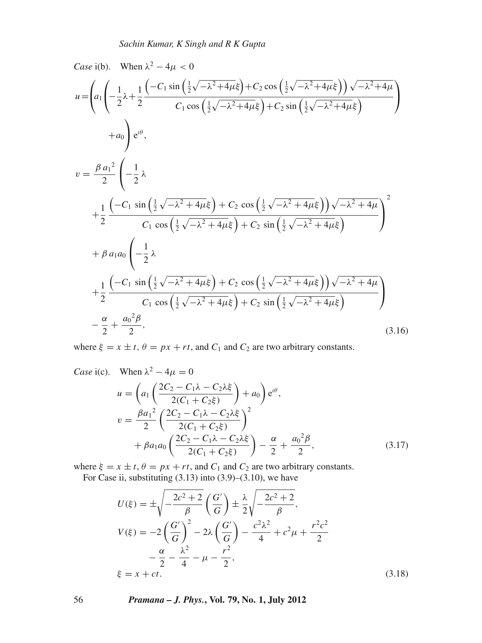Case i(b). When 
$$
\lambda^2 - 4\mu < 0
$$
  
\n
$$
u = \left(a_1 \left( -\frac{1}{2}\lambda + \frac{1}{2} \frac{(-C_1 \sin(\frac{1}{2}\sqrt{-\lambda^2 + 4\mu\xi}) + C_2 \cos(\frac{1}{2}\sqrt{-\lambda^2 + 4\mu\xi}) \right) \sqrt{-\lambda^2 + 4\mu}}{C_1 \cos(\frac{1}{2}\sqrt{-\lambda^2 + 4\mu\xi}) + C_2 \sin(\frac{1}{2}\sqrt{-\lambda^2 + 4\mu\xi})} \right)
$$
\n
$$
+ a_0 \left( e^{i\theta}, \right)
$$
\n
$$
v = \frac{\beta a_1^2}{2} \left( -\frac{1}{2}\lambda + \frac{1}{2} \frac{(-C_1 \sin(\frac{1}{2}\sqrt{-\lambda^2 + 4\mu\xi}) + C_2 \cos(\frac{1}{2}\sqrt{-\lambda^2 + 4\mu\xi}) \right) \sqrt{-\lambda^2 + 4\mu}}{C_1 \cos(\frac{1}{2}\sqrt{-\lambda^2 + 4\mu\xi}) + C_2 \sin(\frac{1}{2}\sqrt{-\lambda^2 + 4\mu\xi})} \right)^2
$$
\n
$$
+ \beta a_1 a_0 \left( -\frac{1}{2}\lambda + \frac{1}{2} \frac{(-C_1 \sin(\frac{1}{2}\sqrt{-\lambda^2 + 4\mu\xi}) + C_2 \cos(\frac{1}{2}\sqrt{-\lambda^2 + 4\mu\xi}) \right) \sqrt{-\lambda^2 + 4\mu}}{C_1 \cos(\frac{1}{2}\sqrt{-\lambda^2 + 4\mu\xi}) + C_2 \sin(\frac{1}{2}\sqrt{-\lambda^2 + 4\mu\xi})} \right)
$$
\n
$$
- \frac{\alpha}{2} + \frac{a_0^2 \beta}{2}, \qquad (3.16)
$$

where  $\xi = x \pm t$ ,  $\theta = px + rt$ , and  $C_1$  and  $C_2$  are two arbitrary constants.

Case i(c). When 
$$
\lambda^2 - 4\mu = 0
$$
  
\n
$$
u = \left( a_1 \left( \frac{2C_2 - C_1\lambda - C_2\lambda\xi}{2(C_1 + C_2\xi)} \right) + a_0 \right) e^{i\theta},
$$
\n
$$
v = \frac{\beta a_1^2}{2} \left( \frac{2C_2 - C_1\lambda - C_2\lambda\xi}{2(C_1 + C_2\xi)} \right)^2 + \beta a_1 a_0 \left( \frac{2C_2 - C_1\lambda - C_2\lambda\xi}{2(C_1 + C_2\xi)} \right) - \frac{\alpha}{2} + \frac{a_0^2 \beta}{2},
$$
\n(3.17)

where  $\xi = x \pm t$ ,  $\theta = px + rt$ , and  $C_1$  and  $C_2$  are two arbitrary constants.

For Case ii, substituting  $(3.13)$  into  $(3.9)$ – $(3.10)$ , we have

$$
U(\xi) = \pm \sqrt{-\frac{2c^2 + 2}{\beta}} \left(\frac{G'}{G}\right) \pm \frac{\lambda}{2} \sqrt{-\frac{2c^2 + 2}{\beta}},
$$
  
\n
$$
V(\xi) = -2 \left(\frac{G'}{G}\right)^2 - 2\lambda \left(\frac{G'}{G}\right) - \frac{c^2 \lambda^2}{4} + c^2 \mu + \frac{r^2 c^2}{2}
$$
  
\n
$$
-\frac{\alpha}{2} - \frac{\lambda^2}{4} - \mu - \frac{r^2}{2},
$$
  
\n
$$
\xi = x + ct.
$$
\n(3.18)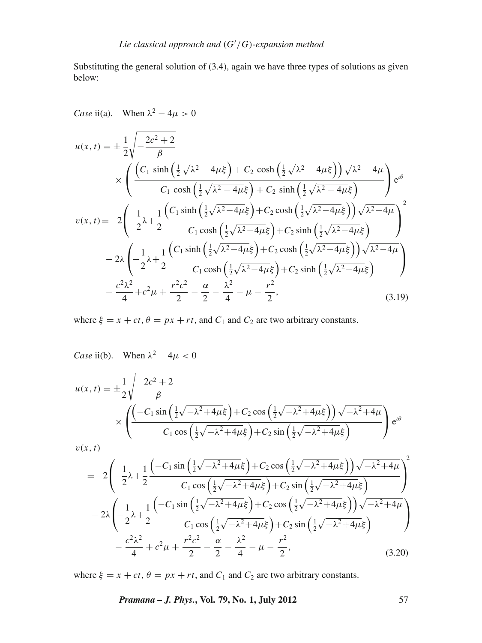Substituting the general solution of (3.4), again we have three types of solutions as given below:

*Case* ii(a). When  $\lambda^2 - 4\mu > 0$ 

$$
u(x,t) = \pm \frac{1}{2} \sqrt{-\frac{2c^2 + 2}{\beta}}
$$
  
\n
$$
\times \left( \frac{\left(C_1 \sinh\left(\frac{1}{2}\sqrt{\lambda^2 - 4\mu\xi}\right) + C_2 \cosh\left(\frac{1}{2}\sqrt{\lambda^2 - 4\mu\xi}\right)\right)\sqrt{\lambda^2 - 4\mu}}{C_1 \cosh\left(\frac{1}{2}\sqrt{\lambda^2 - 4\mu\xi}\right) + C_2 \sinh\left(\frac{1}{2}\sqrt{\lambda^2 - 4\mu\xi}\right)} \right) e^{i\theta}
$$
  
\n
$$
v(x,t) = -2 \left( -\frac{1}{2}\lambda + \frac{1}{2} \frac{\left(C_1 \sinh\left(\frac{1}{2}\sqrt{\lambda^2 - 4\mu\xi}\right) + C_2 \cosh\left(\frac{1}{2}\sqrt{\lambda^2 - 4\mu\xi}\right)\right)\sqrt{\lambda^2 - 4\mu}}{C_1 \cosh\left(\frac{1}{2}\sqrt{\lambda^2 - 4\mu\xi}\right) + C_2 \sinh\left(\frac{1}{2}\sqrt{\lambda^2 - 4\mu\xi}\right)} \right)^2
$$
  
\n
$$
-2\lambda \left( -\frac{1}{2}\lambda + \frac{1}{2} \frac{\left(C_1 \sinh\left(\frac{1}{2}\sqrt{\lambda^2 - 4\mu\xi}\right) + C_2 \cosh\left(\frac{1}{2}\sqrt{\lambda^2 - 4\mu\xi}\right)\right)\sqrt{\lambda^2 - 4\mu}}{C_1 \cosh\left(\frac{1}{2}\sqrt{\lambda^2 - 4\mu\xi}\right) + C_2 \sinh\left(\frac{1}{2}\sqrt{\lambda^2 - 4\mu\xi}\right)} \right)
$$
  
\n
$$
- \frac{c^2\lambda^2}{4} + c^2\mu + \frac{r^2c^2}{2} - \frac{\alpha}{2} - \frac{\lambda^2}{4} - \mu - \frac{r^2}{2},
$$
 (3.19)

where  $\xi = x + ct$ ,  $\theta = px + rt$ , and  $C_1$  and  $C_2$  are two arbitrary constants.

*Case* ii(b). When  $\lambda^2 - 4\mu < 0$ 

$$
u(x,t) = \pm \frac{1}{2} \sqrt{\frac{2c^2 + 2}{\beta}}
$$
  
 
$$
\times \left( \frac{\left( -C_1 \sin\left(\frac{1}{2}\sqrt{-\lambda^2 + 4\mu\xi}\right) + C_2 \cos\left(\frac{1}{2}\sqrt{-\lambda^2 + 4\mu\xi}\right)\right) \sqrt{-\lambda^2 + 4\mu}}{C_1 \cos\left(\frac{1}{2}\sqrt{-\lambda^2 + 4\mu\xi}\right) + C_2 \sin\left(\frac{1}{2}\sqrt{-\lambda^2 + 4\mu\xi}\right)} \right) e^{i\theta}
$$
  

$$
v(x,t)
$$

v(*x*, *t*)

$$
= -2\left(-\frac{1}{2}\lambda + \frac{1}{2}\frac{\left(-C_1\sin\left(\frac{1}{2}\sqrt{-\lambda^2 + 4\mu}\xi\right) + C_2\cos\left(\frac{1}{2}\sqrt{-\lambda^2 + 4\mu}\xi\right)\right)\sqrt{-\lambda^2 + 4\mu}}{C_1\cos\left(\frac{1}{2}\sqrt{-\lambda^2 + 4\mu}\xi\right) + C_2\sin\left(\frac{1}{2}\sqrt{-\lambda^2 + 4\mu}\xi\right)}\right)^2
$$

$$
-2\lambda\left(-\frac{1}{2}\lambda + \frac{1}{2}\frac{\left(-C_1\sin\left(\frac{1}{2}\sqrt{-\lambda^2 + 4\mu}\xi\right) + C_2\cos\left(\frac{1}{2}\sqrt{-\lambda^2 + 4\mu}\xi\right)\right)\sqrt{-\lambda^2 + 4\mu}}{C_1\cos\left(\frac{1}{2}\sqrt{-\lambda^2 + 4\mu}\xi\right) + C_2\sin\left(\frac{1}{2}\sqrt{-\lambda^2 + 4\mu}\xi\right)}\right)^2
$$

$$
-\frac{c^2\lambda^2}{4} + c^2\mu + \frac{r^2c^2}{2} - \frac{\alpha}{2} - \frac{\lambda^2}{4} - \mu - \frac{r^2}{2},\tag{3.20}
$$

where  $\xi = x + ct$ ,  $\theta = px + rt$ , and  $C_1$  and  $C_2$  are two arbitrary constants.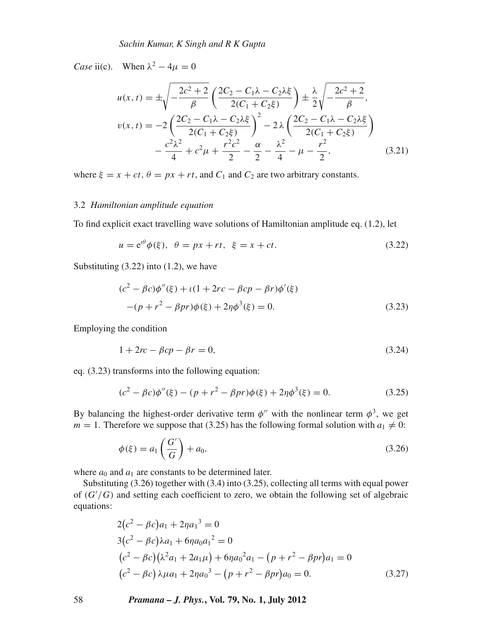*Case* ii(c). When  $\lambda^2 - 4\mu = 0$ 

$$
u(x,t) = \pm \sqrt{-\frac{2c^2 + 2}{\beta}} \left( \frac{2C_2 - C_1 \lambda - C_2 \lambda \xi}{2(C_1 + C_2 \xi)} \right) \pm \frac{\lambda}{2} \sqrt{-\frac{2c^2 + 2}{\beta}},
$$
  

$$
v(x,t) = -2 \left( \frac{2C_2 - C_1 \lambda - C_2 \lambda \xi}{2(C_1 + C_2 \xi)} \right)^2 - 2 \lambda \left( \frac{2C_2 - C_1 \lambda - C_2 \lambda \xi}{2(C_1 + C_2 \xi)} \right)
$$
  

$$
-\frac{c^2 \lambda^2}{4} + c^2 \mu + \frac{r^2 c^2}{2} - \frac{\alpha}{2} - \frac{\lambda^2}{4} - \mu - \frac{r^2}{2},
$$
(3.21)

where  $\xi = x + ct$ ,  $\theta = px + rt$ , and  $C_1$  and  $C_2$  are two arbitrary constants.

## 3.2 *Hamiltonian amplitude equation*

To find explicit exact travelling wave solutions of Hamiltonian amplitude eq. (1.2), let

$$
u = e^{i\theta} \phi(\xi), \quad \theta = px + rt, \quad \xi = x + ct. \tag{3.22}
$$

Substituting  $(3.22)$  into  $(1.2)$ , we have

$$
(c2 - \beta c)\phi''(\xi) + \iota(1 + 2rc - \beta cp - \beta r)\phi'(\xi)
$$
  
-(p + r<sup>2</sup> - \beta pr)\phi(\xi) + 2\eta\phi^{3}(\xi) = 0. (3.23)

Employing the condition

$$
1 + 2rc - \beta cp - \beta r = 0,\tag{3.24}
$$

eq. (3.23) transforms into the following equation:

$$
(c2 - \beta c)\phi''(\xi) - (p + r2 - \beta pr)\phi(\xi) + 2\eta \phi^{3}(\xi) = 0.
$$
 (3.25)

By balancing the highest-order derivative term  $\phi''$  with the nonlinear term  $\phi^3$ , we get  $m = 1$ . Therefore we suppose that (3.25) has the following formal solution with  $a_1 \neq 0$ :

$$
\phi(\xi) = a_1 \left( \frac{G'}{G} \right) + a_0,\tag{3.26}
$$

where  $a_0$  and  $a_1$  are constants to be determined later.

Substituting (3.26) together with (3.4) into (3.25), collecting all terms with equal power of (*G* /*G*) and setting each coefficient to zero, we obtain the following set of algebraic equations:

$$
2(c2 - \beta c)a1 + 2\eta a13 = 0
$$
  
\n
$$
3(c2 - \beta c)\lambda a1 + 6\eta a0a12 = 0
$$
  
\n
$$
(c2 - \beta c)(\lambda2a1 + 2a1\mu) + 6\eta a02a1 - (p + r2 - \beta pr)a1 = 0
$$
  
\n
$$
(c2 - \beta c)\lambda\mu a1 + 2\eta a03 - (p + r2 - \beta pr)a0 = 0.
$$
 (3.27)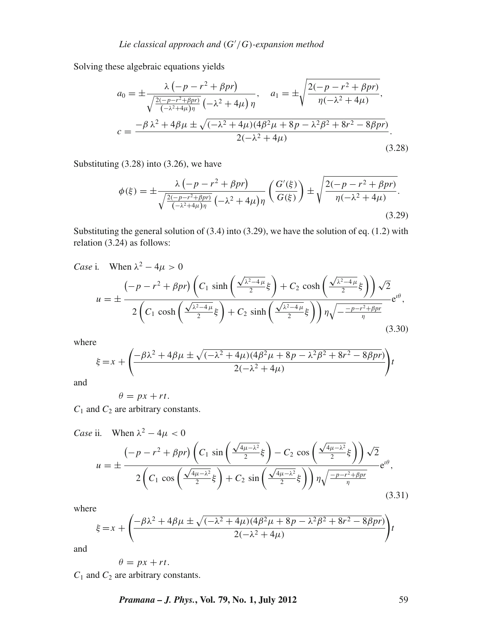Solving these algebraic equations yields

$$
a_0 = \pm \frac{\lambda \left( -p - r^2 + \beta pr \right)}{\sqrt{\frac{2(-p - r^2 + \beta pr)}{(-\lambda^2 + 4\mu)\eta}} \left( -\lambda^2 + 4\mu \right) \eta}, \quad a_1 = \pm \sqrt{\frac{2(-p - r^2 + \beta pr)}{\eta(-\lambda^2 + 4\mu)}},
$$

$$
c = \frac{-\beta \lambda^2 + 4\beta \mu \pm \sqrt{(-\lambda^2 + 4\mu)(4\beta^2 \mu + 8p - \lambda^2 \beta^2 + 8r^2 - 8\beta pr)}}{2(-\lambda^2 + 4\mu)}.
$$
(3.28)

Substituting (3.28) into (3.26), we have

$$
\phi(\xi) = \pm \frac{\lambda \left( -p - r^2 + \beta p r \right)}{\sqrt{\frac{2(-p - r^2 + \beta p r)}{(-\lambda^2 + 4\mu)\eta}} \left( -\lambda^2 + 4\mu \right) \eta} \left( \frac{G'(\xi)}{G(\xi)} \right) \pm \sqrt{\frac{2(-p - r^2 + \beta p r)}{\eta(-\lambda^2 + 4\mu)}}. \tag{3.29}
$$

Substituting the general solution of  $(3.4)$  into  $(3.29)$ , we have the solution of eq.  $(1.2)$  with relation (3.24) as follows:

Case i. When 
$$
\lambda^2 - 4\mu > 0
$$
  
\n
$$
u = \pm \frac{\left(-p - r^2 + \beta p r\right)\left(C_1 \sinh\left(\frac{\sqrt{\lambda^2 - 4\mu}}{2}\xi\right) + C_2 \cosh\left(\frac{\sqrt{\lambda^2 - 4\mu}}{2}\xi\right)\right)\sqrt{2}}{2\left(C_1 \cosh\left(\frac{\sqrt{\lambda^2 - 4\mu}}{2}\xi\right) + C_2 \sinh\left(\frac{\sqrt{\lambda^2 - 4\mu}}{2}\xi\right)\right) \eta \sqrt{-\frac{-p - r^2 + \beta p r}{\eta}} e^{i\theta},\tag{3.30}
$$

where

$$
\xi = x + \left( \frac{-\beta \lambda^2 + 4\beta \mu \pm \sqrt{(-\lambda^2 + 4\mu)(4\beta^2 \mu + 8p - \lambda^2 \beta^2 + 8r^2 - 8\beta pr)}}{2(-\lambda^2 + 4\mu)} \right) t
$$

and

$$
\theta = px + rt.
$$

*C*<sup>1</sup> and *C*<sup>2</sup> are arbitrary constants.

Case ii. When 
$$
\lambda^2 - 4\mu < 0
$$
  
\n
$$
u = \pm \frac{\left(-p - r^2 + \beta p r\right)\left(C_1 \sin\left(\frac{\sqrt{4\mu - \lambda^2}}{2}\xi\right) - C_2 \cos\left(\frac{\sqrt{4\mu - \lambda^2}}{2}\xi\right)\right)\sqrt{2}}{2\left(C_1 \cos\left(\frac{\sqrt{4\mu - \lambda^2}}{2}\xi\right) + C_2 \sin\left(\frac{\sqrt{4\mu - \lambda^2}}{2}\xi\right)\right)\eta \sqrt{\frac{-p - r^2 + \beta p r}{\eta}}} e^{i\theta},\tag{3.31}
$$

where

$$
\xi = x + \left( \frac{-\beta \lambda^2 + 4\beta \mu \pm \sqrt{(-\lambda^2 + 4\mu)(4\beta^2 \mu + 8p - \lambda^2 \beta^2 + 8r^2 - 8\beta pr)}}{2(-\lambda^2 + 4\mu)} \right) t
$$

and

$$
\theta = px + rt.
$$

*C*<sup>1</sup> and *C*<sup>2</sup> are arbitrary constants.